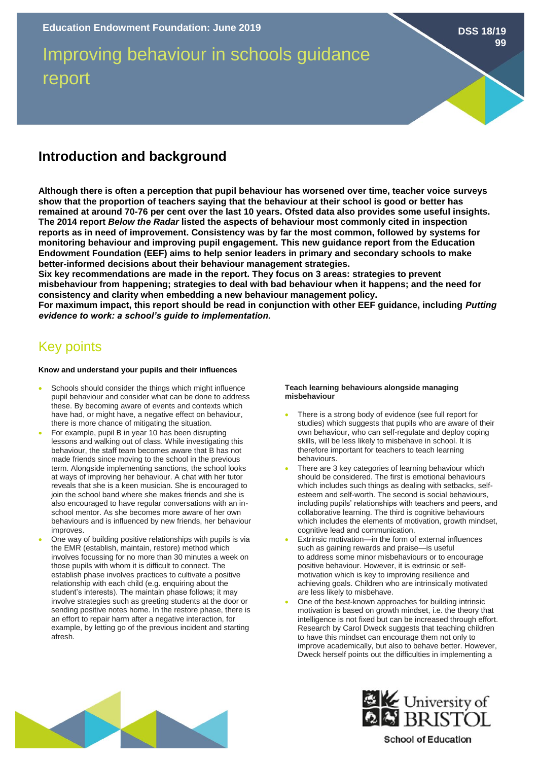# Improving behaviour in schools guidance report

## **Introduction and background**

**Although there is often a perception that pupil behaviour has worsened over time, teacher voice surveys show that the proportion of teachers saying that the behaviour at their school is good or better has remained at around 70-76 per cent over the last 10 years. Ofsted data also provides some useful insights. The 2014 report** *Below the Radar* **listed the aspects of behaviour most commonly cited in inspection reports as in need of improvement. Consistency was by far the most common, followed by systems for monitoring behaviour and improving pupil engagement. This new guidance report from the Education Endowment Foundation (EEF) aims to help senior leaders in primary and secondary schools to make better-informed decisions about their behaviour management strategies.** 

**Six key recommendations are made in the report. They focus on 3 areas: strategies to prevent misbehaviour from happening; strategies to deal with bad behaviour when it happens; and the need for consistency and clarity when embedding a new behaviour management policy.** 

**For maximum impact, this report should be read in conjunction with other EEF guidance, including** *Putting evidence to work: a school's guide to implementation.* 

# Key points

#### **Know and understand your pupils and their influences**

- Schools should consider the things which might influence pupil behaviour and consider what can be done to address these. By becoming aware of events and contexts which have had, or might have, a negative effect on behaviour, there is more chance of mitigating the situation.
- For example, pupil B in year 10 has been disrupting lessons and walking out of class. While investigating this behaviour, the staff team becomes aware that B has not made friends since moving to the school in the previous term. Alongside implementing sanctions, the school looks at ways of improving her behaviour. A chat with her tutor reveals that she is a keen musician. She is encouraged to join the school band where she makes friends and she is also encouraged to have regular conversations with an inschool mentor. As she becomes more aware of her own behaviours and is influenced by new friends, her behaviour improves.
- One way of building positive relationships with pupils is via the EMR (establish, maintain, restore) method which involves focussing for no more than 30 minutes a week on those pupils with whom it is difficult to connect. The establish phase involves practices to cultivate a positive relationship with each child (e.g. enquiring about the student's interests). The maintain phase follows; it may involve strategies such as greeting students at the door or sending positive notes home. In the restore phase, there is an effort to repair harm after a negative interaction, for example, by letting go of the previous incident and starting afresh.

#### **Teach learning behaviours alongside managing misbehaviour**

There is a strong body of evidence (see full report for studies) which suggests that pupils who are aware of their own behaviour, who can self-regulate and deploy coping skills, will be less likely to misbehave in school. It is therefore important for teachers to teach learning behaviours.

**DSS 18/19**

**99**

- There are 3 key categories of learning behaviour which should be considered. The first is emotional behaviours which includes such things as dealing with setbacks, selfesteem and self-worth. The second is social behaviours, including pupils' relationships with teachers and peers, and collaborative learning. The third is cognitive behaviours which includes the elements of motivation, growth mindset, cognitive lead and communication.
- Extrinsic motivation—in the form of external influences such as gaining rewards and praise—is useful to address some minor misbehaviours or to encourage positive behaviour. However, it is extrinsic or selfmotivation which is key to improving resilience and achieving goals. Children who are intrinsically motivated are less likely to misbehave.
- One of the best-known approaches for building intrinsic motivation is based on growth mindset, i.e. the theory that intelligence is not fixed but can be increased through effort. Research by Carol Dweck suggests that teaching children to have this mindset can encourage them not only to improve academically, but also to behave better. However, Dweck herself points out the difficulties in implementing a





### **School of Education**